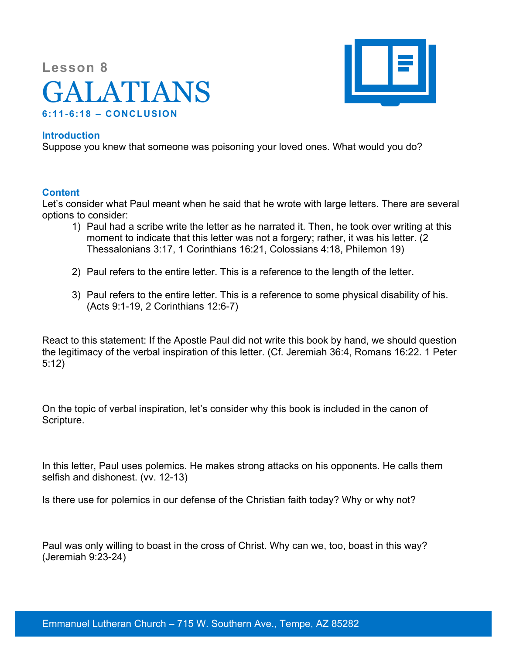## **Lesson 8** GALATIANS **6:11-6:18 – CONCLUSION**



## **Introduction**

Suppose you knew that someone was poisoning your loved ones. What would you do?

## **Content**

Let's consider what Paul meant when he said that he wrote with large letters. There are several options to consider:

- 1) Paul had a scribe write the letter as he narrated it. Then, he took over writing at this moment to indicate that this letter was not a forgery; rather, it was his letter. (2 Thessalonians 3:17, 1 Corinthians 16:21, Colossians 4:18, Philemon 19)
- 2) Paul refers to the entire letter. This is a reference to the length of the letter.
- 3) Paul refers to the entire letter. This is a reference to some physical disability of his. (Acts 9:1-19, 2 Corinthians 12:6-7)

React to this statement: If the Apostle Paul did not write this book by hand, we should question the legitimacy of the verbal inspiration of this letter. (Cf. Jeremiah 36:4, Romans 16:22. 1 Peter 5:12)

On the topic of verbal inspiration, let's consider why this book is included in the canon of Scripture.

In this letter, Paul uses polemics. He makes strong attacks on his opponents. He calls them selfish and dishonest. (vv. 12-13)

Is there use for polemics in our defense of the Christian faith today? Why or why not?

Paul was only willing to boast in the cross of Christ. Why can we, too, boast in this way? (Jeremiah 9:23-24)